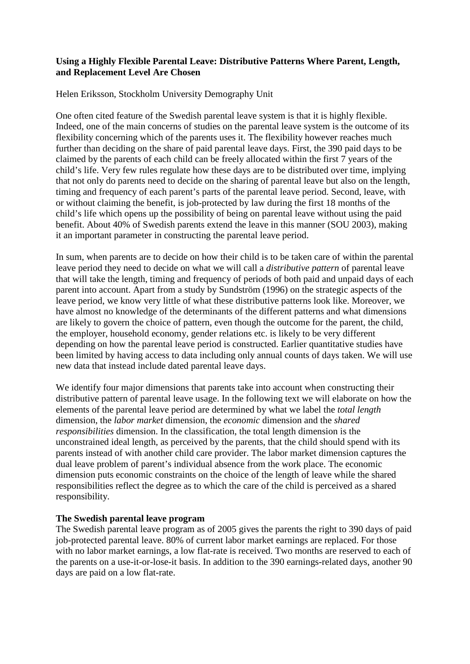# **Using a Highly Flexible Parental Leave: Distributive Patterns Where Parent, Length, and Replacement Level Are Chosen**

Helen Eriksson, Stockholm University Demography Unit

One often cited feature of the Swedish parental leave system is that it is highly flexible. Indeed, one of the main concerns of studies on the parental leave system is the outcome of its flexibility concerning which of the parents uses it. The flexibility however reaches much further than deciding on the share of paid parental leave days. First, the 390 paid days to be claimed by the parents of each child can be freely allocated within the first 7 years of the child's life. Very few rules regulate how these days are to be distributed over time, implying that not only do parents need to decide on the sharing of parental leave but also on the length, timing and frequency of each parent's parts of the parental leave period. Second, leave, with or without claiming the benefit, is job-protected by law during the first 18 months of the child's life which opens up the possibility of being on parental leave without using the paid benefit. About 40% of Swedish parents extend the leave in this manner (SOU 2003), making it an important parameter in constructing the parental leave period.

In sum, when parents are to decide on how their child is to be taken care of within the parental leave period they need to decide on what we will call a *distributive pattern* of parental leave that will take the length, timing and frequency of periods of both paid and unpaid days of each parent into account. Apart from a study by Sundström (1996) on the strategic aspects of the leave period, we know very little of what these distributive patterns look like. Moreover, we have almost no knowledge of the determinants of the different patterns and what dimensions are likely to govern the choice of pattern, even though the outcome for the parent, the child, the employer, household economy, gender relations etc. is likely to be very different depending on how the parental leave period is constructed. Earlier quantitative studies have been limited by having access to data including only annual counts of days taken. We will use new data that instead include dated parental leave days.

We identify four major dimensions that parents take into account when constructing their distributive pattern of parental leave usage. In the following text we will elaborate on how the elements of the parental leave period are determined by what we label the *total length* dimension, the *labor market* dimension, the *economic* dimension and the *shared responsibilities* dimension. In the classification, the total length dimension is the unconstrained ideal length, as perceived by the parents, that the child should spend with its parents instead of with another child care provider. The labor market dimension captures the dual leave problem of parent's individual absence from the work place. The economic dimension puts economic constraints on the choice of the length of leave while the shared responsibilities reflect the degree as to which the care of the child is perceived as a shared responsibility.

#### **The Swedish parental leave program**

The Swedish parental leave program as of 2005 gives the parents the right to 390 days of paid job-protected parental leave. 80% of current labor market earnings are replaced. For those with no labor market earnings, a low flat-rate is received. Two months are reserved to each of the parents on a use-it-or-lose-it basis. In addition to the 390 earnings-related days, another 90 days are paid on a low flat-rate.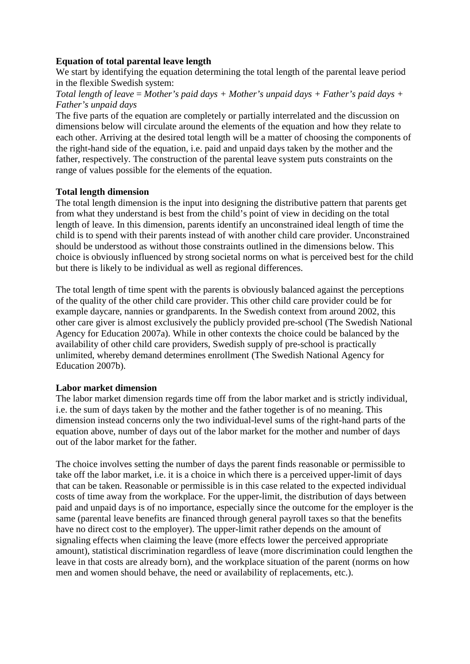## **Equation of total parental leave length**

We start by identifying the equation determining the total length of the parental leave period in the flexible Swedish system:

## *Total length of leave* = *Mother's paid days + Mother's unpaid days + Father's paid days + Father's unpaid days*

The five parts of the equation are completely or partially interrelated and the discussion on dimensions below will circulate around the elements of the equation and how they relate to each other. Arriving at the desired total length will be a matter of choosing the components of the right-hand side of the equation, i.e. paid and unpaid days taken by the mother and the father, respectively. The construction of the parental leave system puts constraints on the range of values possible for the elements of the equation.

## **Total length dimension**

The total length dimension is the input into designing the distributive pattern that parents get from what they understand is best from the child's point of view in deciding on the total length of leave. In this dimension, parents identify an unconstrained ideal length of time the child is to spend with their parents instead of with another child care provider. Unconstrained should be understood as without those constraints outlined in the dimensions below. This choice is obviously influenced by strong societal norms on what is perceived best for the child but there is likely to be individual as well as regional differences.

The total length of time spent with the parents is obviously balanced against the perceptions of the quality of the other child care provider. This other child care provider could be for example daycare, nannies or grandparents. In the Swedish context from around 2002, this other care giver is almost exclusively the publicly provided pre-school (The Swedish National Agency for Education 2007a). While in other contexts the choice could be balanced by the availability of other child care providers, Swedish supply of pre-school is practically unlimited, whereby demand determines enrollment (The Swedish National Agency for Education 2007b).

# **Labor market dimension**

The labor market dimension regards time off from the labor market and is strictly individual, i.e. the sum of days taken by the mother and the father together is of no meaning. This dimension instead concerns only the two individual-level sums of the right-hand parts of the equation above, number of days out of the labor market for the mother and number of days out of the labor market for the father.

The choice involves setting the number of days the parent finds reasonable or permissible to take off the labor market, i.e. it is a choice in which there is a perceived upper-limit of days that can be taken. Reasonable or permissible is in this case related to the expected individual costs of time away from the workplace. For the upper-limit, the distribution of days between paid and unpaid days is of no importance, especially since the outcome for the employer is the same (parental leave benefits are financed through general payroll taxes so that the benefits have no direct cost to the employer). The upper-limit rather depends on the amount of signaling effects when claiming the leave (more effects lower the perceived appropriate amount), statistical discrimination regardless of leave (more discrimination could lengthen the leave in that costs are already born), and the workplace situation of the parent (norms on how men and women should behave, the need or availability of replacements, etc.).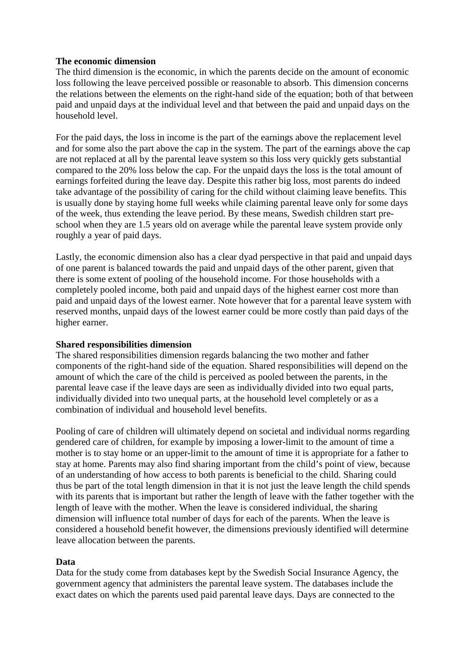## **The economic dimension**

The third dimension is the economic, in which the parents decide on the amount of economic loss following the leave perceived possible or reasonable to absorb. This dimension concerns the relations between the elements on the right-hand side of the equation; both of that between paid and unpaid days at the individual level and that between the paid and unpaid days on the household level.

For the paid days, the loss in income is the part of the earnings above the replacement level and for some also the part above the cap in the system. The part of the earnings above the cap are not replaced at all by the parental leave system so this loss very quickly gets substantial compared to the 20% loss below the cap. For the unpaid days the loss is the total amount of earnings forfeited during the leave day. Despite this rather big loss, most parents do indeed take advantage of the possibility of caring for the child without claiming leave benefits. This is usually done by staying home full weeks while claiming parental leave only for some days of the week, thus extending the leave period. By these means, Swedish children start preschool when they are 1.5 years old on average while the parental leave system provide only roughly a year of paid days.

Lastly, the economic dimension also has a clear dyad perspective in that paid and unpaid days of one parent is balanced towards the paid and unpaid days of the other parent, given that there is some extent of pooling of the household income. For those households with a completely pooled income, both paid and unpaid days of the highest earner cost more than paid and unpaid days of the lowest earner. Note however that for a parental leave system with reserved months, unpaid days of the lowest earner could be more costly than paid days of the higher earner.

#### **Shared responsibilities dimension**

The shared responsibilities dimension regards balancing the two mother and father components of the right-hand side of the equation. Shared responsibilities will depend on the amount of which the care of the child is perceived as pooled between the parents, in the parental leave case if the leave days are seen as individually divided into two equal parts, individually divided into two unequal parts, at the household level completely or as a combination of individual and household level benefits.

Pooling of care of children will ultimately depend on societal and individual norms regarding gendered care of children, for example by imposing a lower-limit to the amount of time a mother is to stay home or an upper-limit to the amount of time it is appropriate for a father to stay at home. Parents may also find sharing important from the child's point of view, because of an understanding of how access to both parents is beneficial to the child. Sharing could thus be part of the total length dimension in that it is not just the leave length the child spends with its parents that is important but rather the length of leave with the father together with the length of leave with the mother. When the leave is considered individual, the sharing dimension will influence total number of days for each of the parents. When the leave is considered a household benefit however, the dimensions previously identified will determine leave allocation between the parents.

#### **Data**

Data for the study come from databases kept by the Swedish Social Insurance Agency, the government agency that administers the parental leave system. The databases include the exact dates on which the parents used paid parental leave days. Days are connected to the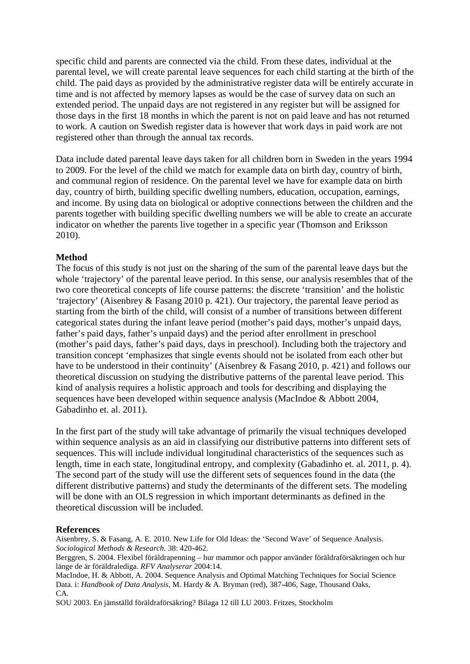specific child and parents are connected via the child. From these dates, individual at the parental level, we will create parental leave sequences for each child starting at the birth of the child. The paid days as provided by the administrative register data will be entirely accurate in time and is not affected by memory lapses as would be the case of survey data on such an extended period. The unpaid days are not registered in any register but will be assigned for those days in the first 18 months in which the parent is not on paid leave and has not returned to work. A caution on Swedish register data is however that work days in paid work are not registered other than through the annual tax records.

Data include dated parental leave days taken for all children born in Sweden in the years 1994 to 2009. For the level of the child we match for example data on birth day, country of birth, and communal region of residence. On the parental level we have for example data on birth day, country of birth, building specific dwelling numbers, education, occupation, earnings, and income. By using data on biological or adoptive connections between the children and the parents together with building specific dwelling numbers we will be able to create an accurate indicator on whether the parents live together in a specific year (Thomson and Eriksson 2010).

## **Method**

The focus of this study is not just on the sharing of the sum of the parental leave days but the whole 'trajectory' of the parental leave period. In this sense, our analysis resembles that of the two core theoretical concepts of life course patterns: the discrete 'transition' and the holistic 'trajectory' (Aisenbrey & Fasang 2010 p. 421). Our trajectory, the parental leave period as starting from the birth of the child, will consist of a number of transitions between different categorical states during the infant leave period (mother's paid days, mother's unpaid days, father's paid days, father's unpaid days) and the period after enrollment in preschool (mother's paid days, father's paid days, days in preschool). Including both the trajectory and transition concept 'emphasizes that single events should not be isolated from each other but have to be understood in their continuity' (Aisenbrey & Fasang 2010, p. 421) and follows our theoretical discussion on studying the distributive patterns of the parental leave period. This kind of analysis requires a holistic approach and tools for describing and displaying the sequences have been developed within sequence analysis (MacIndoe & Abbott 2004, Gabadinho et. al. 2011).

In the first part of the study will take advantage of primarily the visual techniques developed within sequence analysis as an aid in classifying our distributive patterns into different sets of sequences. This will include individual longitudinal characteristics of the sequences such as length, time in each state, longitudinal entropy, and complexity (Gabadinho et. al. 2011, p. 4). The second part of the study will use the different sets of sequences found in the data (the different distributive patterns) and study the determinants of the different sets. The modeling will be done with an OLS regression in which important determinants as defined in the theoretical discussion will be included.

#### **References**

Aisenbrey, S. & Fasang, A. E. 2010. New Life for Old Ideas: the 'Second Wave' of Sequence Analysis. *Sociological Methods & Research.* 38: 420-462.

Berggren, S. 2004. Flexibel föräldrapenning – hur mammor och pappor använder föräldraförsäkringen och hur länge de är föräldralediga. *RFV Analyserar* 2004:14.

MacIndoe, H. & Abbott, A. 2004. Sequence Analysis and Optimal Matching Techniques for Social Science Data. i: *Handbook of Data Analysis,* M. Hardy & A. Bryman (red), 387-406, Sage, Thousand Oaks, CA.

SOU 2003. En jämställd föräldraförsäkring? Bilaga 12 till LU 2003. Fritzes, Stockholm